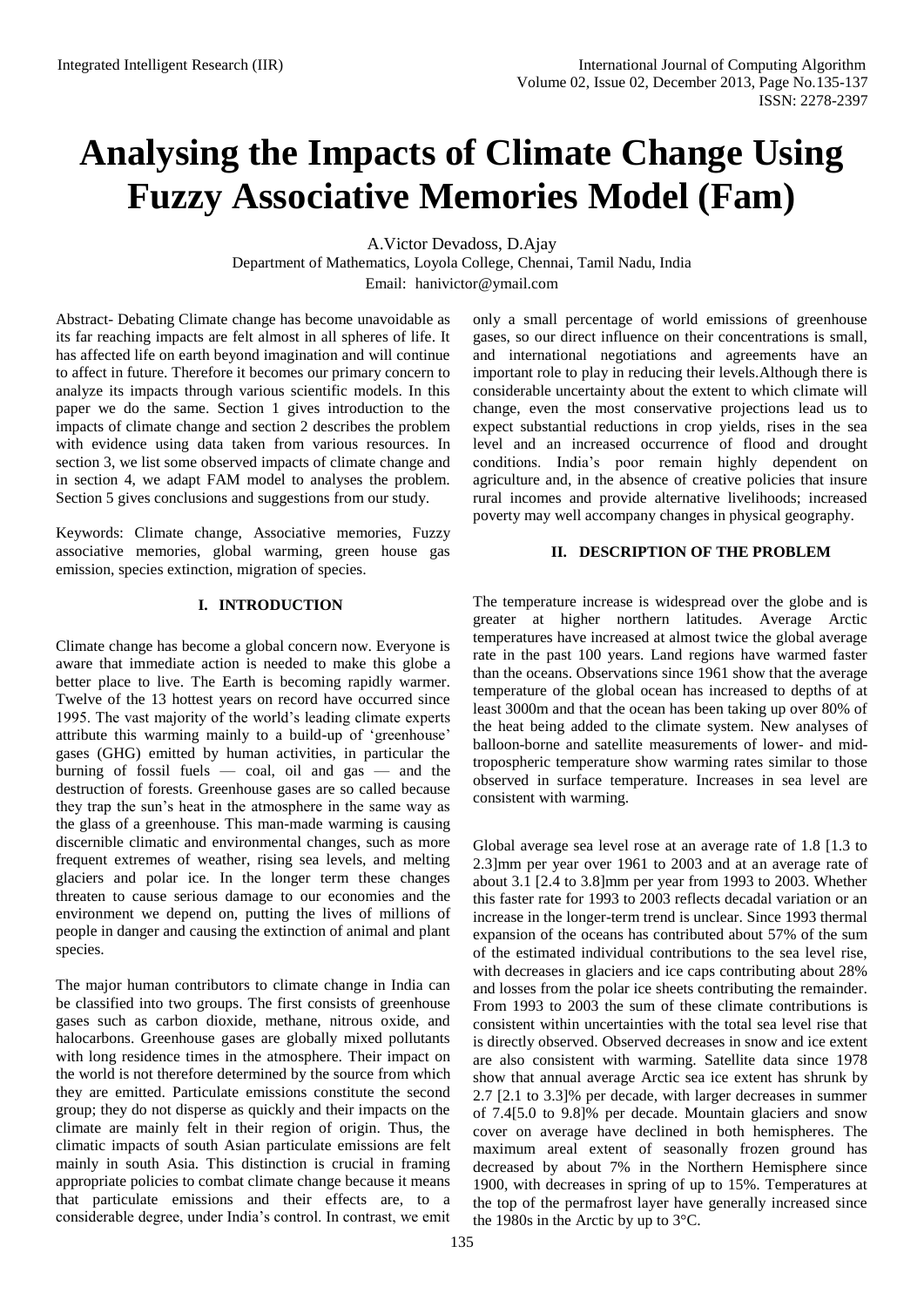# **Analysing the Impacts of Climate Change Using Fuzzy Associative Memories Model (Fam)**

A.Victor Devadoss, D.Ajay

Department of Mathematics, Loyola College, Chennai, Tamil Nadu, India Email: hanivictor@ymail.com

Abstract- Debating Climate change has become unavoidable as its far reaching impacts are felt almost in all spheres of life. It has affected life on earth beyond imagination and will continue to affect in future. Therefore it becomes our primary concern to analyze its impacts through various scientific models. In this paper we do the same. Section 1 gives introduction to the impacts of climate change and section 2 describes the problem with evidence using data taken from various resources. In section 3, we list some observed impacts of climate change and in section 4, we adapt FAM model to analyses the problem. Section 5 gives conclusions and suggestions from our study.

Keywords: Climate change, Associative memories, Fuzzy associative memories, global warming, green house gas emission, species extinction, migration of species.

# **I. INTRODUCTION**

Climate change has become a global concern now. Everyone is aware that immediate action is needed to make this globe a better place to live. The Earth is becoming rapidly warmer. Twelve of the 13 hottest years on record have occurred since 1995. The vast majority of the world's leading climate experts attribute this warming mainly to a build-up of 'greenhouse' gases (GHG) emitted by human activities, in particular the burning of fossil fuels  $-$  coal, oil and gas  $-$  and the destruction of forests. Greenhouse gases are so called because they trap the sun's heat in the atmosphere in the same way as the glass of a greenhouse. This man-made warming is causing discernible climatic and environmental changes, such as more frequent extremes of weather, rising sea levels, and melting glaciers and polar ice. In the longer term these changes threaten to cause serious damage to our economies and the environment we depend on, putting the lives of millions of people in danger and causing the extinction of animal and plant species.

The major human contributors to climate change in India can be classified into two groups. The first consists of greenhouse gases such as carbon dioxide, methane, nitrous oxide, and halocarbons. Greenhouse gases are globally mixed pollutants with long residence times in the atmosphere. Their impact on the world is not therefore determined by the source from which they are emitted. Particulate emissions constitute the second group; they do not disperse as quickly and their impacts on the climate are mainly felt in their region of origin. Thus, the climatic impacts of south Asian particulate emissions are felt mainly in south Asia. This distinction is crucial in framing appropriate policies to combat climate change because it means that particulate emissions and their effects are, to a considerable degree, under India's control. In contrast, we emit

only a small percentage of world emissions of greenhouse gases, so our direct influence on their concentrations is small, and international negotiations and agreements have an important role to play in reducing their levels.Although there is considerable uncertainty about the extent to which climate will change, even the most conservative projections lead us to expect substantial reductions in crop yields, rises in the sea level and an increased occurrence of flood and drought conditions. India's poor remain highly dependent on agriculture and, in the absence of creative policies that insure rural incomes and provide alternative livelihoods; increased poverty may well accompany changes in physical geography.

# **II. DESCRIPTION OF THE PROBLEM**

The temperature increase is widespread over the globe and is greater at higher northern latitudes. Average Arctic temperatures have increased at almost twice the global average rate in the past 100 years. Land regions have warmed faster than the oceans. Observations since 1961 show that the average temperature of the global ocean has increased to depths of at least 3000m and that the ocean has been taking up over 80% of the heat being added to the climate system. New analyses of balloon-borne and satellite measurements of lower- and midtropospheric temperature show warming rates similar to those observed in surface temperature. Increases in sea level are consistent with warming.

Global average sea level rose at an average rate of 1.8 [1.3 to 2.3]mm per year over 1961 to 2003 and at an average rate of about 3.1 [2.4 to 3.8]mm per year from 1993 to 2003. Whether this faster rate for 1993 to 2003 reflects decadal variation or an increase in the longer-term trend is unclear. Since 1993 thermal expansion of the oceans has contributed about 57% of the sum of the estimated individual contributions to the sea level rise, with decreases in glaciers and ice caps contributing about 28% and losses from the polar ice sheets contributing the remainder. From 1993 to 2003 the sum of these climate contributions is consistent within uncertainties with the total sea level rise that is directly observed. Observed decreases in snow and ice extent are also consistent with warming. Satellite data since 1978 show that annual average Arctic sea ice extent has shrunk by 2.7 [2.1 to 3.3]% per decade, with larger decreases in summer of 7.4[5.0 to 9.8]% per decade. Mountain glaciers and snow cover on average have declined in both hemispheres. The maximum areal extent of seasonally frozen ground has decreased by about 7% in the Northern Hemisphere since 1900, with decreases in spring of up to 15%. Temperatures at the top of the permafrost layer have generally increased since the 1980s in the Arctic by up to 3°C.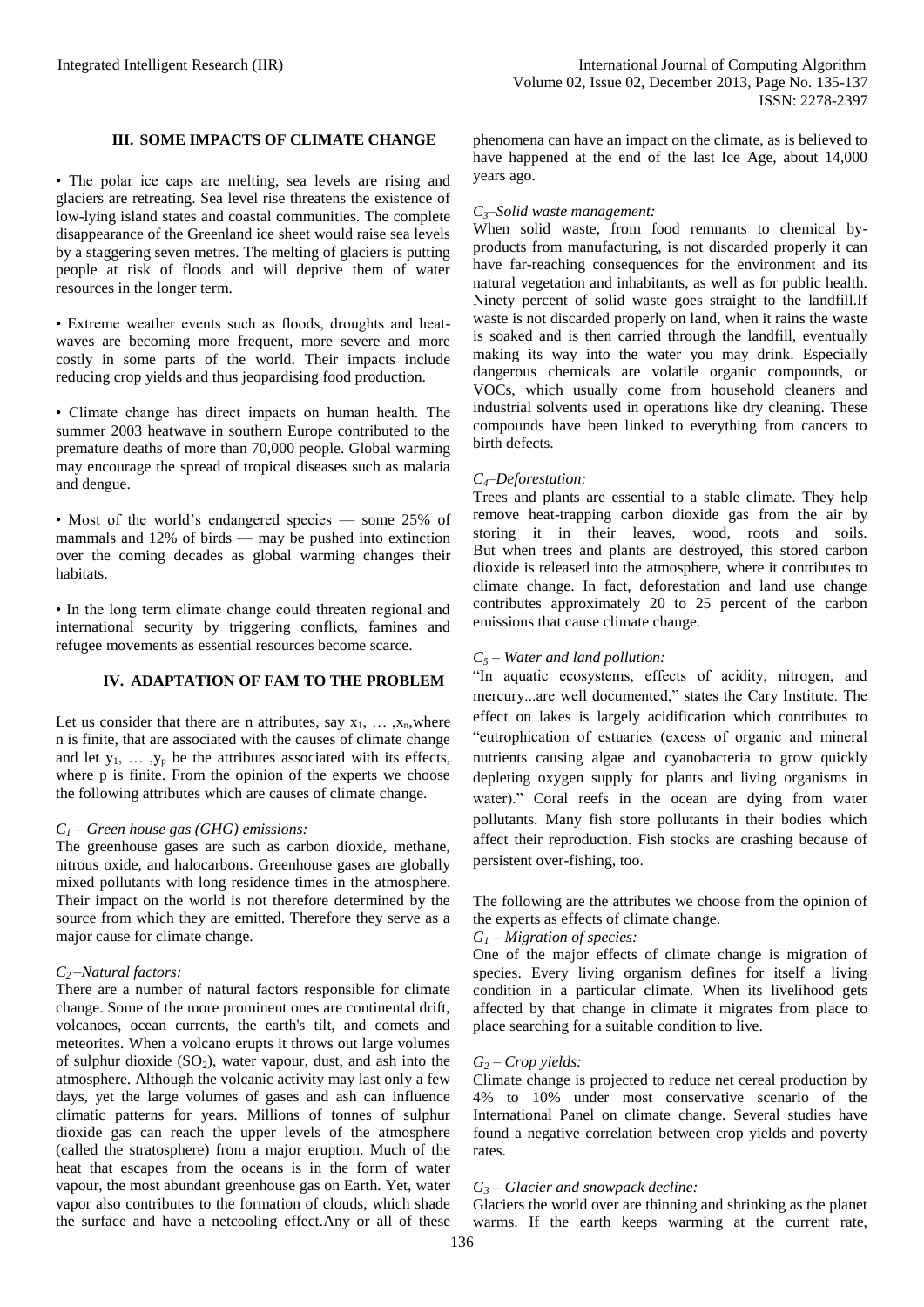# **III. SOME IMPACTS OF CLIMATE CHANGE**

• The polar ice caps are melting, sea levels are rising and glaciers are retreating. Sea level rise threatens the existence of low-lying island states and coastal communities. The complete disappearance of the Greenland ice sheet would raise sea levels by a staggering seven metres. The melting of glaciers is putting people at risk of floods and will deprive them of water resources in the longer term.

• Extreme weather events such as floods, droughts and heatwaves are becoming more frequent, more severe and more costly in some parts of the world. Their impacts include reducing crop yields and thus jeopardising food production.

• Climate change has direct impacts on human health. The summer 2003 heatwave in southern Europe contributed to the premature deaths of more than 70,000 people. Global warming may encourage the spread of tropical diseases such as malaria and dengue.

• Most of the world's endangered species — some 25% of mammals and 12% of birds — may be pushed into extinction over the coming decades as global warming changes their habitats.

• In the long term climate change could threaten regional and international security by triggering conflicts, famines and refugee movements as essential resources become scarce.

# **IV. ADAPTATION OF FAM TO THE PROBLEM**

Let us consider that there are n attributes, say  $x_1, \ldots, x_n$ , where n is finite, that are associated with the causes of climate change and let  $y_1, \ldots, y_p$  be the attributes associated with its effects, where p is finite. From the opinion of the experts we choose the following attributes which are causes of climate change.

## *C<sup>1</sup> – Green house gas (GHG) emissions:*

The greenhouse gases are such as carbon dioxide, methane, nitrous oxide, and halocarbons. Greenhouse gases are globally mixed pollutants with long residence times in the atmosphere. Their impact on the world is not therefore determined by the source from which they are emitted. Therefore they serve as a major cause for climate change.

## *C2 –Natural factors:*

There are a number of natural factors responsible for climate change. Some of the more prominent ones are continental drift, volcanoes, ocean currents, the earth's tilt, and comets and meteorites. When a volcano erupts it throws out large volumes of sulphur dioxide  $(SO_2)$ , water vapour, dust, and ash into the atmosphere. Although the volcanic activity may last only a few days, yet the large volumes of gases and ash can influence climatic patterns for years. Millions of tonnes of sulphur dioxide gas can reach the upper levels of the atmosphere (called the stratosphere) from a major eruption. Much of the heat that escapes from the oceans is in the form of water vapour, the most abundant greenhouse gas on Earth. Yet, water vapor also contributes to the formation of clouds, which shade the surface and have a netcooling effect.Any or all of these phenomena can have an impact on the climate, as is believed to have happened at the end of the last Ice Age, about 14,000 years ago.

#### *C3–Solid waste management:*

When solid waste, from food remnants to chemical byproducts from manufacturing, is not discarded properly it can have far-reaching consequences for the environment and its natural vegetation and inhabitants, as well as for public health. Ninety percent of solid waste goes straight to the landfill.If waste is not discarded properly on land, when it rains the waste is soaked and is then carried through the landfill, eventually making its way into the water you may drink. Especially dangerous chemicals are volatile organic compounds, or VOCs, which usually come from household cleaners and industrial solvents used in operations like dry cleaning. These compounds have been linked to everything from cancers to birth defects.

## *C4–Deforestation:*

Trees and plants are essential to a stable climate. They help remove heat-trapping carbon dioxide gas from the air by storing it in their leaves, wood, roots and soils. But when trees and plants are destroyed, this stored carbon dioxide is released into the atmosphere, where it contributes to climate change. In fact, deforestation and land use change contributes approximately 20 to 25 percent of the carbon emissions that cause climate change.

#### *C<sup>5</sup> – Water and land pollution:*

"In aquatic ecosystems, effects of acidity, nitrogen, and mercury...are well documented," states the Cary Institute. The effect on lakes is largely acidification which contributes to "eutrophication of estuaries (excess of organic and mineral nutrients causing algae and cyanobacteria to grow quickly depleting oxygen supply for plants and living organisms in water)." Coral reefs in the ocean are dying from water pollutants. Many fish store pollutants in their bodies which affect their reproduction. Fish stocks are crashing because of persistent over-fishing, too.

The following are the attributes we choose from the opinion of the experts as effects of climate change.

## *G<sup>1</sup> – Migration of species:*

One of the major effects of climate change is migration of species. Every living organism defines for itself a living condition in a particular climate. When its livelihood gets affected by that change in climate it migrates from place to place searching for a suitable condition to live.

## *G<sup>2</sup> – Crop yields:*

Climate change is projected to reduce net cereal production by 4% to 10% under most conservative scenario of the International Panel on climate change. Several studies have found a negative correlation between crop yields and poverty rates.

## *G<sup>3</sup> – Glacier and snowpack decline:*

Glaciers the world over are thinning and shrinking as the planet warms. If the earth keeps warming at the current rate,